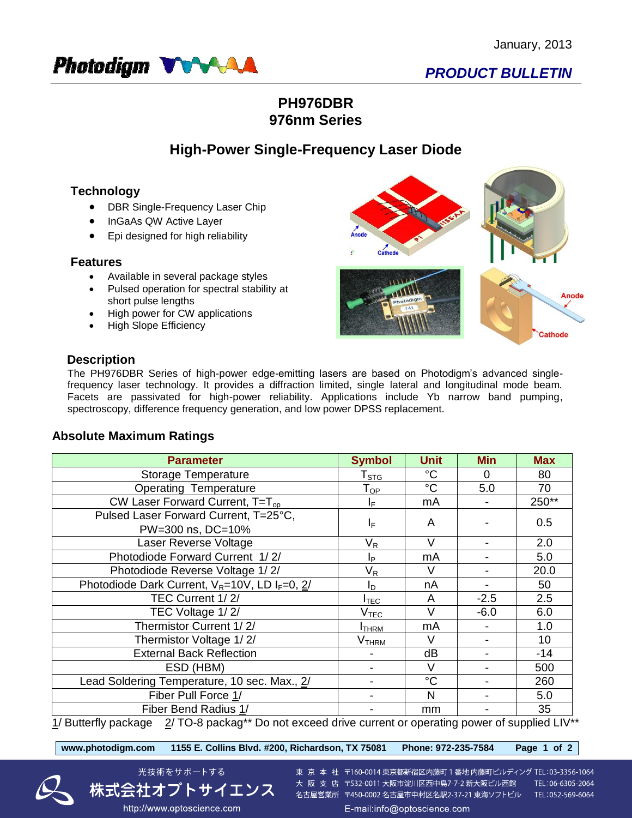

# *PRODUCT BULLETIN*

## **PH976DBR 976nm Series**

## **High-Power Single-Frequency Laser Diode**

## **Technology**

- DBR Single-Frequency Laser Chip
- InGaAs QW Active Layer
- Epi designed for high reliability

#### **Features**

- Available in several package styles
- Pulsed operation for spectral stability at short pulse lengths
- High power for CW applications
- High Slope Efficiency



### **Description**

The PH976DBR Series of high-power edge-emitting lasers are based on Photodigm's advanced singlefrequency laser technology. It provides a diffraction limited, single lateral and longitudinal mode beam. Facets are passivated for high-power reliability. Applications include Yb narrow band pumping, spectroscopy, difference frequency generation, and low power DPSS replacement.

## **Absolute Maximum Ratings**

| <b>Parameter</b>                                                                                           | <b>Symbol</b>               | <b>Unit</b> | <b>Min</b> | <b>Max</b> |  |  |  |
|------------------------------------------------------------------------------------------------------------|-----------------------------|-------------|------------|------------|--|--|--|
| <b>Storage Temperature</b>                                                                                 | $\mathsf{T}_{\texttt{STG}}$ | $^{\circ}C$ | 0          | 80         |  |  |  |
| <b>Operating Temperature</b>                                                                               | $\mathsf{T}_{\mathsf{OP}}$  | $^{\circ}C$ | 5.0        | 70         |  |  |  |
| CW Laser Forward Current, $T=T_{op}$                                                                       | IF.                         | mA          |            | 250**      |  |  |  |
| Pulsed Laser Forward Current, T=25°C,                                                                      | $I_F$                       | A           |            | 0.5        |  |  |  |
| PW=300 ns, DC=10%                                                                                          |                             |             |            |            |  |  |  |
| Laser Reverse Voltage                                                                                      | $\mathsf{V}_\mathsf{R}$     | $\vee$      |            | 2.0        |  |  |  |
| Photodiode Forward Current 1/2/                                                                            | Ιp                          | mA          |            | 5.0        |  |  |  |
| Photodiode Reverse Voltage 1/2/                                                                            | $\mathsf{V}_\mathsf{R}$     | V           |            | 20.0       |  |  |  |
| Photodiode Dark Current, $V_R = 10V$ , LD $I_F = 0$ , $2/$                                                 | I <sub>D</sub>              | nA          |            | 50         |  |  |  |
| TEC Current 1/2/                                                                                           | $I_{\mathsf{TEC}}$          | A           | $-2.5$     | 2.5        |  |  |  |
| TEC Voltage 1/2/                                                                                           | $\rm V_{\rm TEC}$           | $\vee$      | $-6.0$     | 6.0        |  |  |  |
| Thermistor Current 1/2/                                                                                    | <b>I</b> THRM               | mA          |            | 1.0        |  |  |  |
| Thermistor Voltage 1/2/                                                                                    | V <sub>THRM</sub>           | V           |            | 10         |  |  |  |
| <b>External Back Reflection</b>                                                                            |                             | dB          |            | -14        |  |  |  |
| ESD (HBM)                                                                                                  |                             | V           |            | 500        |  |  |  |
| Lead Soldering Temperature, 10 sec. Max., 2/                                                               |                             | $^{\circ}C$ |            | 260        |  |  |  |
| Fiber Pull Force 1/                                                                                        |                             | N           |            | 5.0        |  |  |  |
| Fiber Bend Radius 1/                                                                                       |                             | mm          |            | 35         |  |  |  |
| $1/$ Butterfly package $2/$ TO-8 packag** Do not exceed drive current or operating power of supplied LIV** |                             |             |            |            |  |  |  |

**www.photodigm.com 1155 E. Collins Blvd. #200, Richardson, TX 75081 Phone: 972-235-7584 Page 1 of 2** 



東 京 本 社 〒160-0014 東京都新宿区内藤町 1 番地 内藤町ビルディング TEL:03-3356-1064 大阪支店 〒532-0011 大阪市淀川区西中島7-7-2 新大阪ビル西館 TEL:06-6305-2064 名古屋営業所 〒450-0002 名古屋市中村区名駅2-37-21 東海ソフトビル TEL:052-569-6064 E-mail:info@optoscience.com